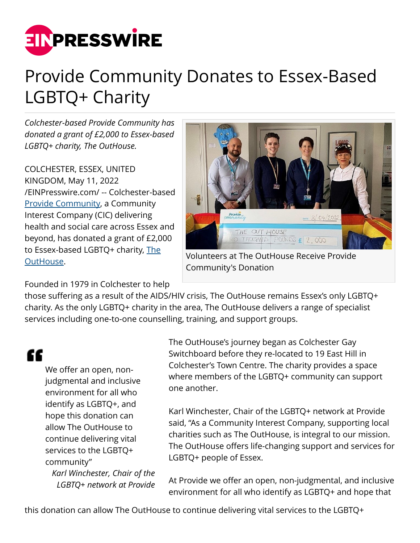

## Provide Community Donates to Essex-Based LGBTQ+ Charity

*Colchester-based Provide Community has donated a grant of £2,000 to Essex-based LGBTQ+ charity, The OutHouse.*

COLCHESTER, ESSEX, UNITED KINGDOM, May 11, 2022 [/EINPresswire.com/](http://www.einpresswire.com) -- Colchester-based [Provide Community](https://www.provide.org.uk/), a Community Interest Company (CIC) delivering health and social care across Essex and beyond, has donated a grant of £2,000 to Essex-based LGBTQ+ charity, [The](https://theouthouse.org.uk/) [OutHouse.](https://theouthouse.org.uk/)



Volunteers at The OutHouse Receive Provide Community's Donation

Founded in 1979 in Colchester to help

those suffering as a result of the AIDS/HIV crisis, The OutHouse remains Essex's only LGBTQ+ charity. As the only LGBTQ+ charity in the area, The OutHouse delivers a range of specialist services including one-to-one counselling, training, and support groups.

££

We offer an open, nonjudgmental and inclusive environment for all who identify as LGBTQ+, and hope this donation can allow The OutHouse to continue delivering vital services to the LGBTQ+ community"

*Karl Winchester, Chair of the LGBTQ+ network at Provide* The OutHouse's journey began as Colchester Gay Switchboard before they re-located to 19 East Hill in Colchester's Town Centre. The charity provides a space where members of the LGBTQ+ community can support one another.

Karl Winchester, Chair of the LGBTQ+ network at Provide said, "As a Community Interest Company, supporting local charities such as The OutHouse, is integral to our mission. The OutHouse offers life-changing support and services for LGBTQ+ people of Essex.

At Provide we offer an open, non-judgmental, and inclusive environment for all who identify as LGBTQ+ and hope that

this donation can allow The OutHouse to continue delivering vital services to the LGBTQ+